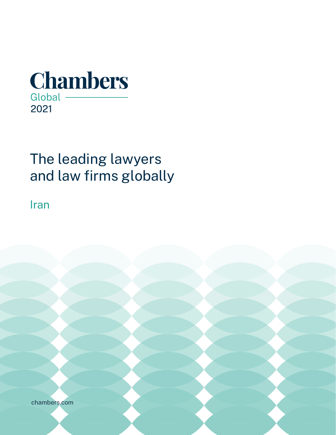

# The leading lawyers and law firms globally

Iran

chambers. The chambers of [chambers.com](http://chambers.com)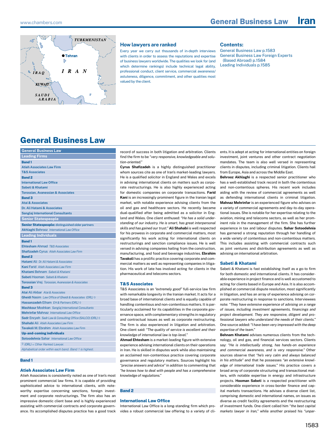

#### **How lawyers are ranked**

Every year we carry out thousands of in-depth interviews with clients in order to assess the reputations and expertise of business lawyers worldwide. The qualities we look for (and which determine rankings) include technical legal ability, professional conduct, client service, commercial awareness/ astuteness, diligence, commitment, and other qualities most valued by the client.

#### **Contents:**

General Business Law p.1583 [General Business Law Foreign Experts](#page-2-0)   [\(Based Abroad\) p.1584](#page-2-0) [Leading Individuals p.1585](#page-3-0)

# **General Business Law**

| <b>General Business Law</b>                                       |
|-------------------------------------------------------------------|
| <b>Leading Firms</b>                                              |
| <b>Band1</b>                                                      |
| <b>Atieh Associates Law Firm</b>                                  |
| <b>T&amp;S Associates</b>                                         |
| <b>Band 2</b>                                                     |
| <b>International Law Office</b>                                   |
| Sabeti & Khatami                                                  |
| <b>Torossian, Avanessian &amp; Associates</b>                     |
| <b>Band 3</b>                                                     |
| <b>Atai &amp; Associates</b>                                      |
| Dr. Ali Hatami & Associates                                       |
| <b>Sanglaj International Consultants</b>                          |
| <b>Senior Statespeople</b>                                        |
| <b>Senior Statespeople:</b> distinguished older partners          |
| <b>Akhlaghi Behrooz International Law Office</b>                  |
| <b>Leading Individuals</b>                                        |
| <b>Band1</b>                                                      |
| <b>Ehtesham Ahmad T&amp;S Associates</b>                          |
| Shafizadeh Cyrus Atieh Associates Law Firm                        |
| <b>Band 2</b>                                                     |
| Hatami Ali Dr. Ali Hatami & Associates                            |
| <b>Kani Farid</b> Atieh Associates Law Firm                       |
| Khatami Behnam Sabeti & Khatami                                   |
| Sabeti Hooman Sabeti & Khatami                                    |
| Torossian Vrej Torossian, Avanessian & Associates                 |
| <b>Band 3</b>                                                     |
| Atai Ali Akbar Atai & Associates                                  |
| Gheidi Nasim Law Office of Gheidi & Associates (ORL) $\diamond$   |
| Hassanzadeh Elham EH & Partners (ORL) $\diamond$                  |
| Mashkour Moshkan Sanglaj International Consultants                |
| <b>Mehrinfar Mahnaz</b> International Law Office                  |
| Sadr Encyeh Sadr Law & Consulting Office (SALCO) (ORL) $\diamond$ |
| Shahabi Ali Atieh Associates Law Firm                             |
| Tavakoli M. Ebrahim Atieh Associates Law Firm                     |
| <b>Up-and-coming individuals</b>                                  |
| Sotoodehnia Sahar International Law Office                        |
| $\Diamond$ (ORL) = Other Ranked Lawyer.                           |
| Alphabetical order within each band. Band 1 is highest.           |
|                                                                   |

## **Band 1**

### **Atieh Associates Law Firm**

Atieh Associates is consistently noted as one of Iran's most prominent commercial law firms. It is capable of providing sophisticated advice to international clients, with noteworthy expertise concerning sanctions, foreign investment and corporate restructurings. The firm also has an impressive domestic client base and is highly experienced assisting with commercial contracts and corporate governance. Its accomplished disputes practice has a good track record of success in both litigation and arbitration. Clients find the firm to be *"very responsive, knowledgeable and solution-oriented."*

**Cyrus Shafizadeh** is a highly distinguished practitioner whom sources cite as one of Iran's market-leading lawyers. He is a qualified solicitor in England and Wales and excels in advising international clients on matters such as corporate restructurings. He is also highly experienced acting for domestic companies on corporate transactions. **Farid Kani** is an increasingly prominent figure in the Iranian legal market, with notable experience advising clients from the oil and gas and healthcare sectors. He recently became dual-qualified after being admitted as a solicitor in England and Wales. One client enthused: *"He has a solid understanding of our industry. He is smart, has great interpersonal skills and has gained our trust."* **Ali Shahabi** is well respected for his prowess in corporate and commercial matters, most significantly his work acting for international clients on restructurings and sanction compliance issues. He is well versed in advising companies hailing from the construction, manufacturing, and food and beverage industries. **Ebrahim Tavakoli** has a prolific practice covering corporate and commercial matters as well as representing companies in litigation. His work of late has involved acting for clients in the pharmaceutical and telecoms sectors.

#### **T&S Associates**

T&S Associates is an *"extremely good"* full-service law firm with remarkable longevity in the Iranian market. It acts for a broad base of international clients and is equally capable of handling contentious and non-contentious matters. It is particularly acclaimed for its capabilities in the corporate governance space, with complementary strengths in regulatory and contractual issues as well as corporate restructuring. The firm is also experienced in litigation and arbitration. One client said: *"The quality of service is excellent and their knowledge of international law is top-level."*

**Ahmad Ehtesham** is a market-leading figure with extensive experience advising international clients on their operations in Iran. He is skilled in disputes work while also maintaining an acclaimed non-contentious practice covering corporate governance and regulatory matters. Sources highlight his *"precise answers and advice"* in addition to commenting that *"he knows how to deal with people and has a comprehensive knowledge of regulations."* 

#### **Band 2**

#### **International Law Office**

International Law Office is a long-standing firm which provides a robust commercial law offering to a variety of clients. It is adept at acting for international entities on foreign investment, joint ventures and other contract negotiation mandates. The team is also well versed in representing clients in disputes, including criminal litigation. Clients hail from Europe, Asia and across the Middle East.

**Behrooz Akhlaghi** is a respected senior practitioner who has a well-established track record in both the contentious and non-contentious spheres. His recent work includes aiding with the review of commercial agreements as well as defending international clients in criminal litigation. **Mahnaz Mehrinfar** is an experienced figure who advises on a variety of commercial agreements and day-to-day operational issues. She is notable for her expertise relating to the aviation, mining and telecoms sectors, as well as her prominent role in the management of the firm. She has further experience in tax and labour disputes. **Sahar Sotoodehnia** has garnered a strong reputation through her handling of a wide variety of contentious and non-contentious matters. This includes assisting with commercial contracts such as joint ventures and distribution agreements as well as advising on international arbitration.

#### **Sabeti & Khatami**

Sabeti & Khatami is fast establishing itself as a go-to firm for both domestic and international clients. It has considerable experience in project finance and is well accustomed to acting for clients based in Europe and Asia. It is also accomplished at commercial dispute resolution, most significantly in litigation, and has an array of experience advising on corporate restructuring in response to sanctions. Interviewees note: *"They have extensive experience of advising on a range of issues, including investment agreements, financings and project development. They are responsive, diligent and professional lawyers who understand the needs of their clients."*  One source added: *"I have been very impressed with the deep expertise of the team."*

**Behnam Khatami** advises numerous clients from the technology, oil and gas, and financial services sectors. Clients say: *"He is intellectually strong, has hands-on experience and commercial awareness, and is very responsive."* Other sources observe that *"he's very calm and always balanced in his attitude"* and that he possesses *"an extensive knowledge of international trade issues."* His practice covers a broad array of corporate structuring and transactional matters, with notable expertise in energy and infrastructure projects. **Hooman Sabeti** is a respected practitioner with considerable experience in cross-border finance and capital markets transactions. He advises a diverse client list, comprising domestic and international names, on issues as diverse as credit facility agreements and the restructuring of investment funds. One client called him *"the best capital markets lawyer in Iran,"* while another praised his *"unpar-*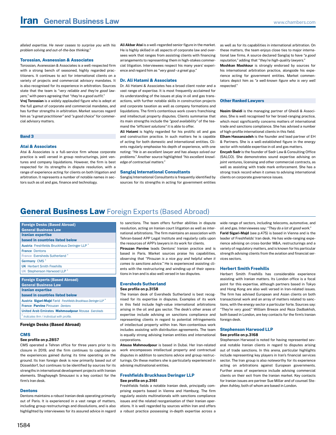<span id="page-2-0"></span>*alleled expertise. He never ceases to surprise you with his problem solving and out-of-the-box thinking."*

#### **Torossian, Avanessian & Associates**

Torossian, Avanessian & Associates is a well-respected firm with a strong bench of seasoned, highly regarded practitioners. It continues to act for international clients on a variety of projects and commercial advisory mandates. It is also recognised for its experience in arbitration. Sources state that the team is *"very reliable and they're good lawyers,"* with peers agreeing that *"they're a good outfit."*

**Vrej Torossian** is a widely applauded figure who is adept at the full gamut of corporate and commercial mandates, and has further strengths in arbitration. Market sources regard him as *"a great practitioner"* and *"a good choice"* for commercial advisory matters.

#### **Band 3**

## **Atai & Associates**

Atai & Associates is a full-service firm whose corporate practice is well versed in group restructurings, joint ventures and company liquidations. However, the firm is best respected for its strengths in dispute resolution, with a range of experience acting for clients on both litigation and arbitration. It represents a number of notable names in sectors such as oil and gas, finance and technology.

**Ali Akbar Atai** is a well-regarded senior figure in the market. He is highly skilled in all aspects of corporate law and oversees work that ranges from assisting clients with financing arrangements to representing them in high-stakes commercial litigation. Interviewees respect his many years' experience and regard him as *"very good – a great guy."*

#### **Dr. Ali Hatami & Associates**

Dr. Ali Hatami & Associates has a broad client roster and a vast range of expertise. It is most frequently acclaimed for its understanding of the issues at play in oil and gas transactions, with further notable skills in construction projects and corporate taxation as well as company formations and liquidations. The firm's contentious work covers franchising and intellectual property disputes. Clients summarise that its main strengths include the *"good availability"* of the teamand the *"efficient solutions"* it is able to offer.

**Ali Hatami** is highly regarded for his prolific oil and gas and construction practice. In such matters he is capable of acting for both domestic and international entities. Clients regularly emphasise his depth of experience, with one noting: *"He is an excellent lawyer and has always solved our problems."* Another source highlighted *"his excellent knowledge of contractual matters."*

#### **Sanglaj International Consultants**

Sanglaj International Consultants is frequently identified by sources for its strengths in acting for government entities

as well as for its capabilities in international arbitration. On these matters, the team enjoys close ties to major international law firms. A source declared Sanglaj to have *"a good reputation,"* adding that *"they're high-quality lawyers."*

**Moshkan Mashkour** is strongly endorsed by sources for his international arbitration practice, alongside his experience acting for government entities. Market commentators depict him as *"a well-known figure who is very well respected."*

#### **Other Ranked Lawyers**

**Nasim Gheidi** is the managing partner of Gheidi & Associates. She is well recognised for her broad-ranging practice, which most significantly concerns matters of international trade and sanctions compliance. She has advised a number of high-profile international clients in this field.

**Elham Hassanzadeh** is the founder and lead partner of EH & Partners. She is a well-established figure in the energy sector with notable expertise in oil and gas matters.

**Encyeh Sadr** is the founder of Sadr Law & Consulting Office (SALCO). She demonstrates sound expertise advising on joint ventures, licensing and other commercial contracts, as well as assisting with trade mark enforcement. She has a strong track record when it comes to advising international clients on corporate governance issues.

## **General Business Law** Foreign Experts (Based Abroad)

| <b>Foreign Desks (Based Abroad)</b>                     |
|---------------------------------------------------------|
| <b>General Business Law</b>                             |
| <b>Iranian expertise</b>                                |
| based in countries listed below                         |
| Austria Freshfields Bruckhaus Deringer LLP <sup>*</sup> |
| <b>France Dentons</b>                                   |
| France Eversheds Sutherland *                           |
| Germany CMS <sup>*</sup>                                |
| <b>UK</b> Herbert Smith Freehills                       |
| UK Stephenson Harwood LLP                               |
|                                                         |
| <b>Foreign Experts (Based Abroad)</b>                   |

\* *Indicates firm / individual with profile.* Austria Sigari-Majd Farid *Freshfields Bruckhaus Deringer LLP* \* France Parvine Pirouzan *Dentons* United Arab Emirates Mahmoudpour Atousa *Eversheds* Iranian expertise based in countries listed below General Business Law

#### Foreign Desks (Based Abroad)

#### **CMS**

#### **See profile on p.2857**

CMS operated a Tehran office for three years prior to its closure in 2019, and the firm continues to capitalise on the experiences gained during its time operating on the ground. Its Iran foreign desk is now primarily based out of Düsseldorf, but continues to be identified by sources for its strengths in international development projects with Iranian elements. Shaghayegh Smousavi is a key contact for the firm's Iran desk.

#### **Dentons**

Dentons maintains a robust Iranian desk operating primarily out of Paris. It is experienced in a vast range of matters, including group restructurings and dissolutions, and is also highlighted by interviewees for its assured advice in regard

to sanctions. The team offers further abilities in dispute resolution, acting on Iranian court litigation as well as international arbitrations. The firm maintains an association with Tehran-based APP Legal Institute and regularly calls upon the resources of APP's lawyers in its work for clients.

**Pirouzan Parvine** leads Dentons' Iranian practice and is based in Paris. Market sources praise his capabilities, observing that *"Pirouzan is a nice guy and helpful when it comes to sanctions advice."* He is experienced assisting clients with the restructuring and winding-up of their operations in Iran and is also well versed in tax disputes.

#### **Eversheds Sutherland See profile on p.3158**

The Iranian desk of Eversheds Sutherland is best recognised for its expertise in disputes. Examples of its work in this field include high-value international arbitrations arising in the oil and gas sector. The desk's other areas of expertise include advising on sanctions compliance and representing clients in regard to potential infringements of intellectual property within Iran. Non-contentious work includes assisting with distribution agreements. The team is equally strong advising Iranian entities and international corporations.

**Atousa Mahmoudpour** is based in Dubai. Her Iran-related work encompasses intellectual property and contractual disputes in addition to sanctions advice and group restructurings. On these matters she is particularly experienced in advising multinational entities.

#### **Freshfields Bruckhaus Deringer LLP See profile on p.3161**

Freshfields fields a notable Iranian desk, principally comprising experts based in Vienna and Hamburg. The firm regularly assists multinationals with sanctions compliance issues and the related reorganisation of their Iranian operations. It is well regarded by sources within Iran and offers a robust practice possessing in-depth expertise across a

wide range of sectors, including telecoms, automotive, and oil and gas. Interviewees say: *"They do a lot of good work."*

**Farid Sigari-Majd** (see p.475) is based in Vienna and is the leader of Freshfields' Iran desk. He has wide-ranging experience advising on cross-border M&A, restructurings and a variety of regulatory matters, and is known for his particular strength advising clients from the aviation and financial services sectors.

#### **Herbert Smith Freehills**

Herbert Smith Freehills has considerable experience assisting with Iranian matters. Its London office is a focal point for this expertise, although partners based in Tokyo and Hong Kong are also well versed in Iran-related issues. The firm has advised European and Asian clients on both transactional work and an array of matters related to sanctions, with the energy sector a particular forte. Sources say: *"They're very good."* William Breeze and Reza Dadbakhsh, both based in London, are key contacts for the firm's Iranian foreign desk.

#### **Stephenson Harwood LLP See profile on p.3168**

Stephenson Harwood is noted for having represented several notable Iranian clients in regard to disputes arising out of trade sanctions. In this arena, particular highlights include representing key players in Iran's financial services sector. The Iran group is also noteworthy for its experience acting on arbitrations against European governments. Further areas of experience include advising commercial clients on their exit from the Iranian market. Key contacts for Iranian issues are partner Sue Millar and of counsel Stephen Ashley, both of whom are based in London.